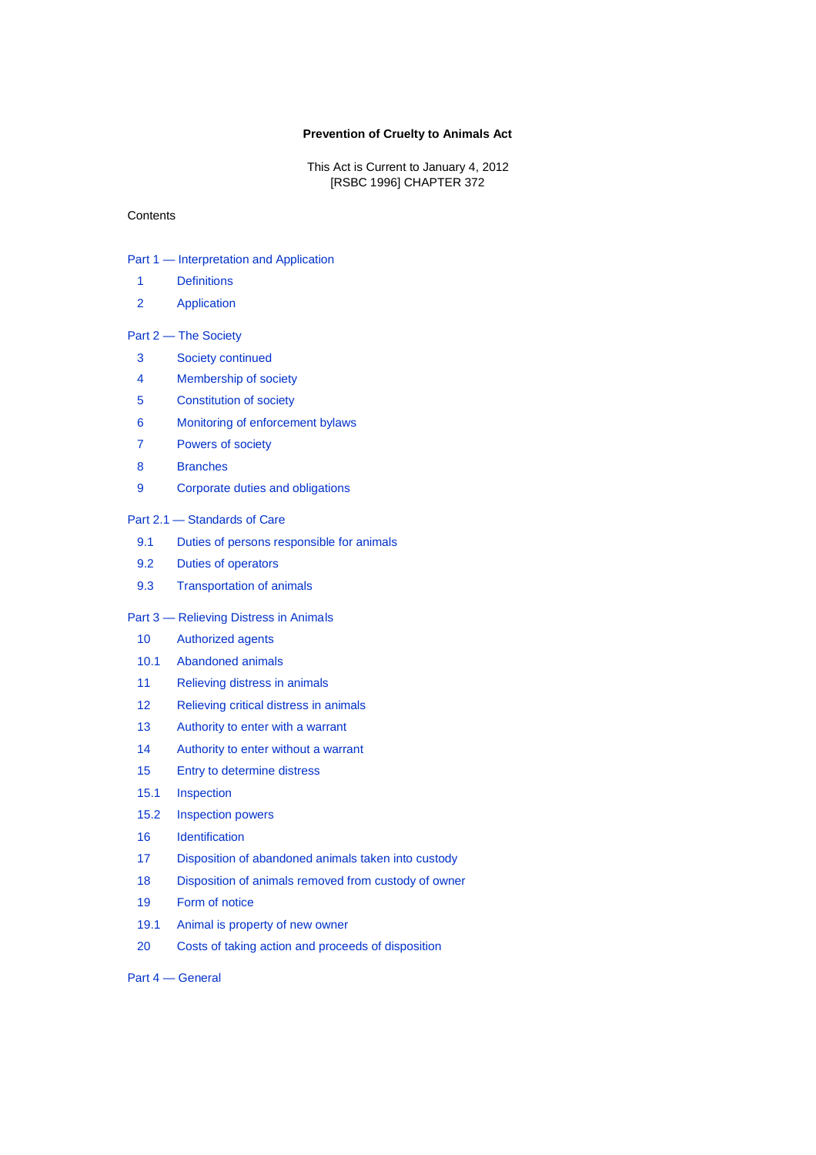# **Prevention of Cruelty to Animals Act**

This Act is Current to January 4, 2012 [RSBC 1996] CHAPTER 372

### **Contents**

- Part 1 Interpretation and Application
- 1 Definitions
- 2 Application

# Part 2 — The Society

- 3 Society continued
- 4 Membership of society
- 5 Constitution of society
- 6 Monitoring of enforcement bylaws
- 7 Powers of society
- 8 Branches
- 9 Corporate duties and obligations

# Part 2.1 — Standards of Care

- 9.1 Duties of persons responsible for animals
- 9.2 Duties of operators
- 9.3 Transportation of animals

### Part 3 — Relieving Distress in Animals

- 10 Authorized agents
- 10.1 Abandoned animals
- 11 Relieving distress in animals
- 12 Relieving critical distress in animals
- 13 Authority to enter with a warrant
- 14 Authority to enter without a warrant
- 15 Entry to determine distress
- 15.1 Inspection
- 15.2 Inspection powers
- 16 Identification
- 17 Disposition of abandoned animals taken into custody
- 18 Disposition of animals removed from custody of owner
- 19 Form of notice
- 19.1 Animal is property of new owner
- 20 Costs of taking action and proceeds of disposition

#### Part 4 — General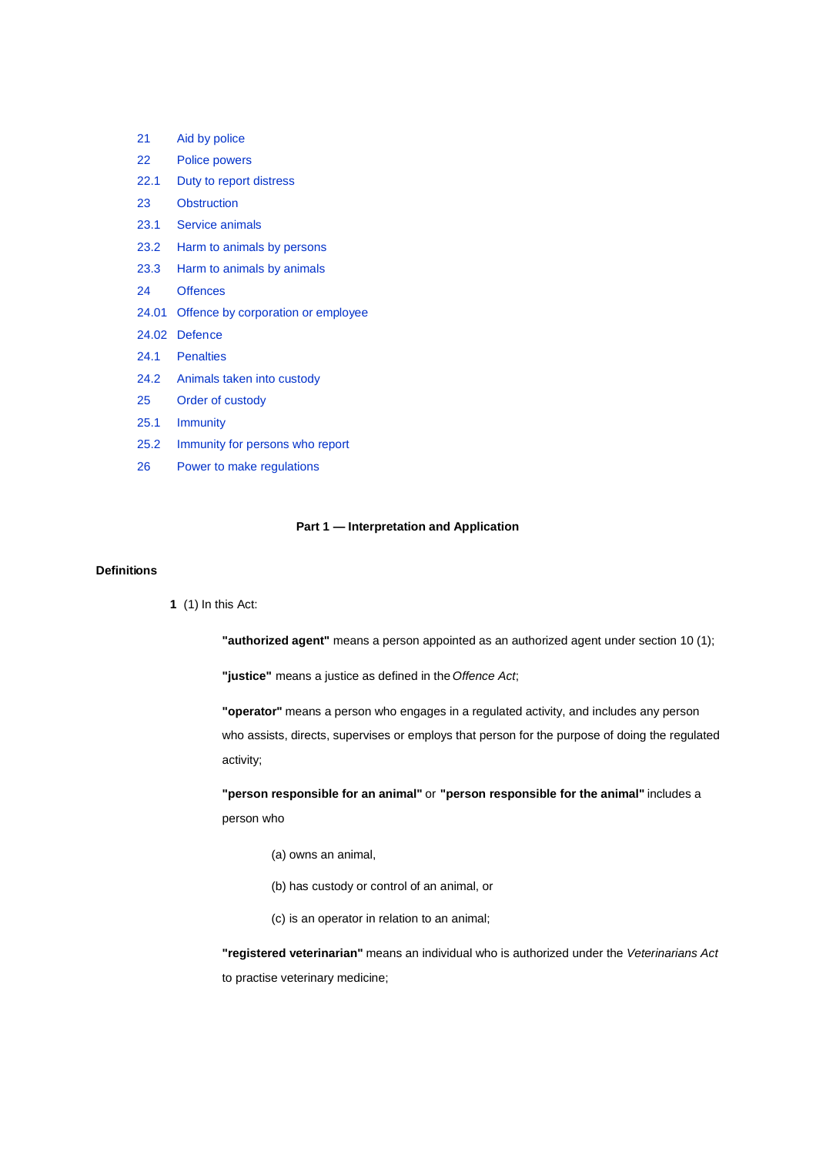| 21    | Aid by police                      |
|-------|------------------------------------|
| 22    | <b>Police powers</b>               |
| 22.1  | Duty to report distress            |
| 23    | <b>Obstruction</b>                 |
| 23.1  | Service animals                    |
| 23.2  | Harm to animals by persons         |
| 23.3  | Harm to animals by animals         |
| 24    | <b>Offences</b>                    |
| 24.01 | Offence by corporation or employee |
|       | 24.02 Defence                      |
| 24.1  | <b>Penalties</b>                   |
| 24.2  | Animals taken into custody         |
| 25    | Order of custody                   |
| 25.1  | <b>Immunity</b>                    |
| 25.2  | Immunity for persons who report    |
| 26    | Power to make regulations          |

# **Part 1 — Interpretation and Application**

### **Definitions**

**1** (1) In this Act:

**"authorized agent"** means a person appointed as an authorized agent under section 10 (1);

**"justice"** means a justice as defined in the *Offence Act*;

**"operator"** means a person who engages in a regulated activity, and includes any person who assists, directs, supervises or employs that person for the purpose of doing the regulated activity;

**"person responsible for an animal"** or **"person responsible for the animal"** includes a person who

- (a) owns an animal,
- (b) has custody or control of an animal, or
- (c) is an operator in relation to an animal;

**"registered veterinarian"** means an individual who is authorized under the *Veterinarians Act* to practise veterinary medicine;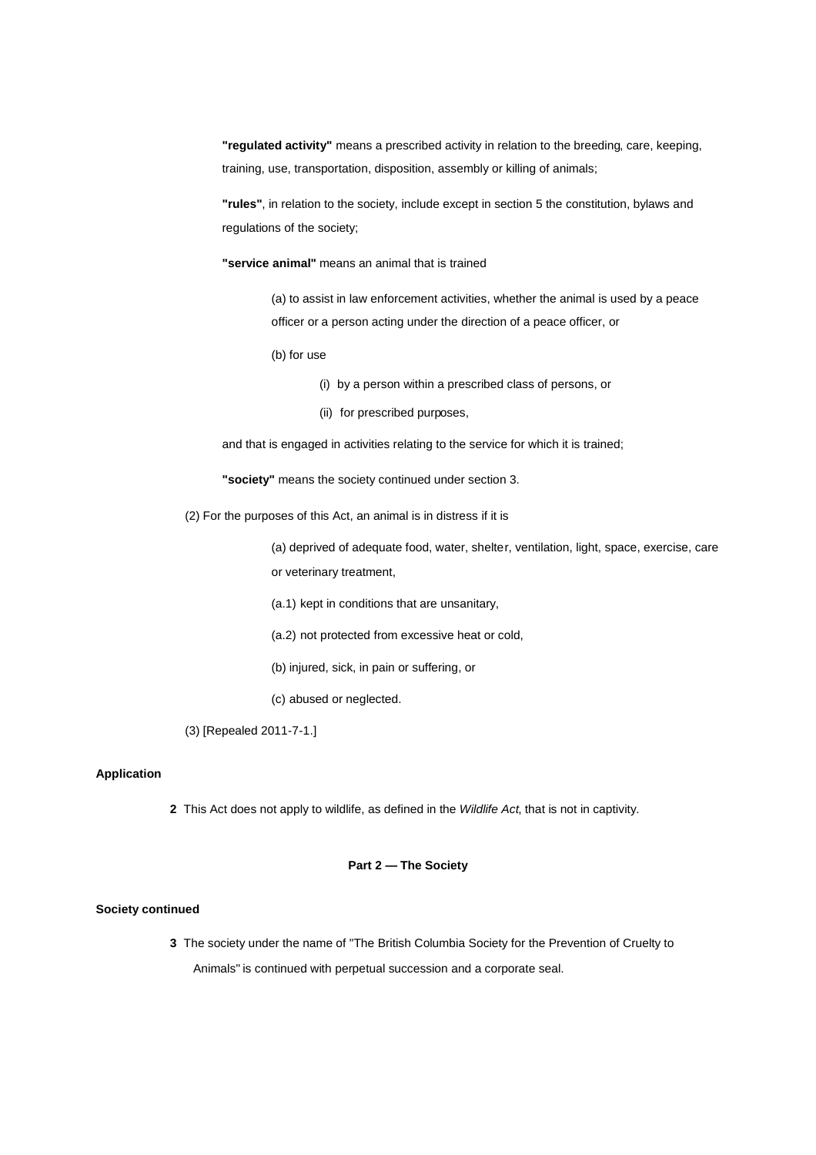**"regulated activity"** means a prescribed activity in relation to the breeding, care, keeping, training, use, transportation, disposition, assembly or killing of animals;

**"rules"**, in relation to the society, include except in section 5 the constitution, bylaws and regulations of the society;

**"service animal"** means an animal that is trained

(a) to assist in law enforcement activities, whether the animal is used by a peace officer or a person acting under the direction of a peace officer, or

- (b) for use
	- (i) by a person within a prescribed class of persons, or
	- (ii) for prescribed purposes,

and that is engaged in activities relating to the service for which it is trained;

**"society"** means the society continued under section 3.

(2) For the purposes of this Act, an animal is in distress if it is

(a) deprived of adequate food, water, shelter, ventilation, light, space, exercise, care or veterinary treatment,

(a.1) kept in conditions that are unsanitary,

(a.2) not protected from excessive heat or cold,

(b) injured, sick, in pain or suffering, or

(c) abused or neglected.

(3) [Repealed 2011-7-1.]

# **Application**

**2** This Act does not apply to wildlife, as defined in the *Wildlife Act*, that is not in captivity.

# **Part 2 — The Society**

### **Society continued**

**3** The society under the name of "The British Columbia Society for the Prevention of Cruelty to Animals" is continued with perpetual succession and a corporate seal.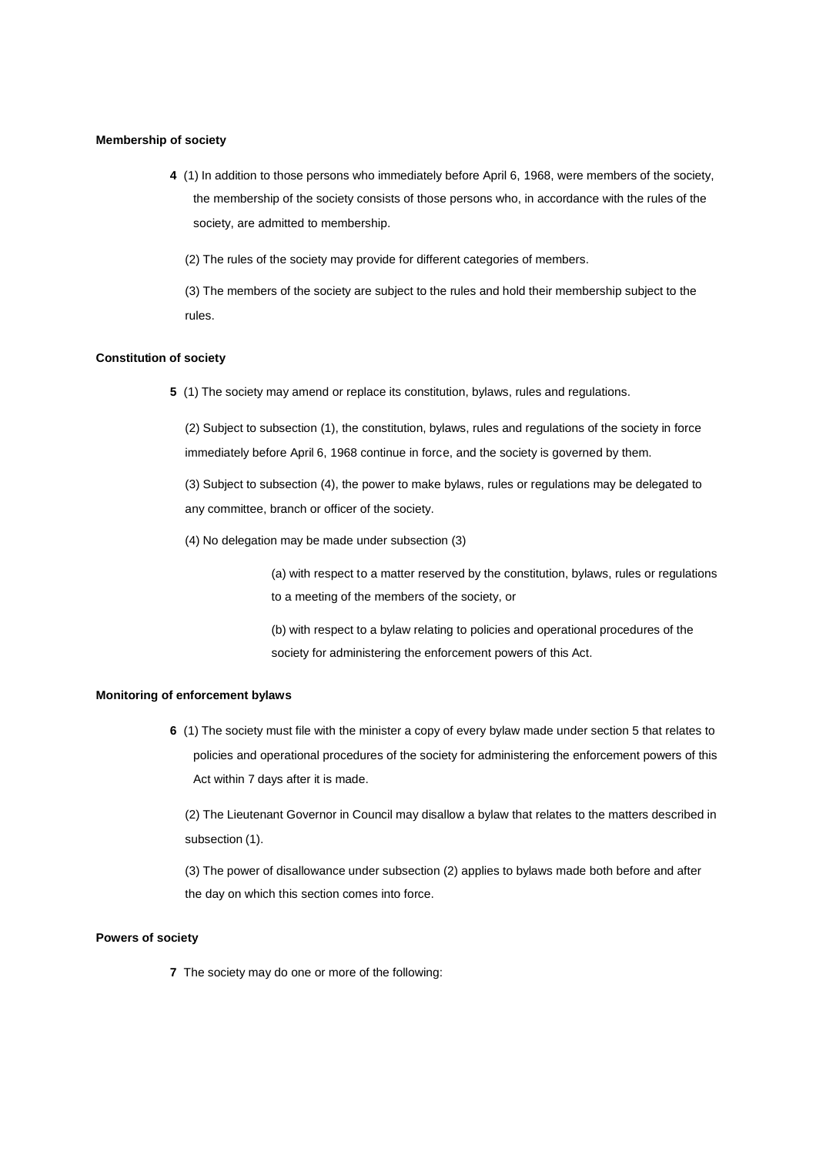### **Membership of society**

**4** (1) In addition to those persons who immediately before April 6, 1968, were members of the society, the membership of the society consists of those persons who, in accordance with the rules of the society, are admitted to membership.

(2) The rules of the society may provide for different categories of members.

(3) The members of the society are subject to the rules and hold their membership subject to the rules.

### **Constitution of society**

**5** (1) The society may amend or replace its constitution, bylaws, rules and regulations.

(2) Subject to subsection (1), the constitution, bylaws, rules and regulations of the society in force immediately before April 6, 1968 continue in force, and the society is governed by them.

(3) Subject to subsection (4), the power to make bylaws, rules or regulations may be delegated to any committee, branch or officer of the society.

(4) No delegation may be made under subsection (3)

(a) with respect to a matter reserved by the constitution, bylaws, rules or regulations to a meeting of the members of the society, or

(b) with respect to a bylaw relating to policies and operational procedures of the society for administering the enforcement powers of this Act.

### **Monitoring of enforcement bylaws**

**6** (1) The society must file with the minister a copy of every bylaw made under section 5 that relates to policies and operational procedures of the society for administering the enforcement powers of this Act within 7 days after it is made.

(2) The Lieutenant Governor in Council may disallow a bylaw that relates to the matters described in subsection (1).

(3) The power of disallowance under subsection (2) applies to bylaws made both before and after the day on which this section comes into force.

### **Powers of society**

**7** The society may do one or more of the following: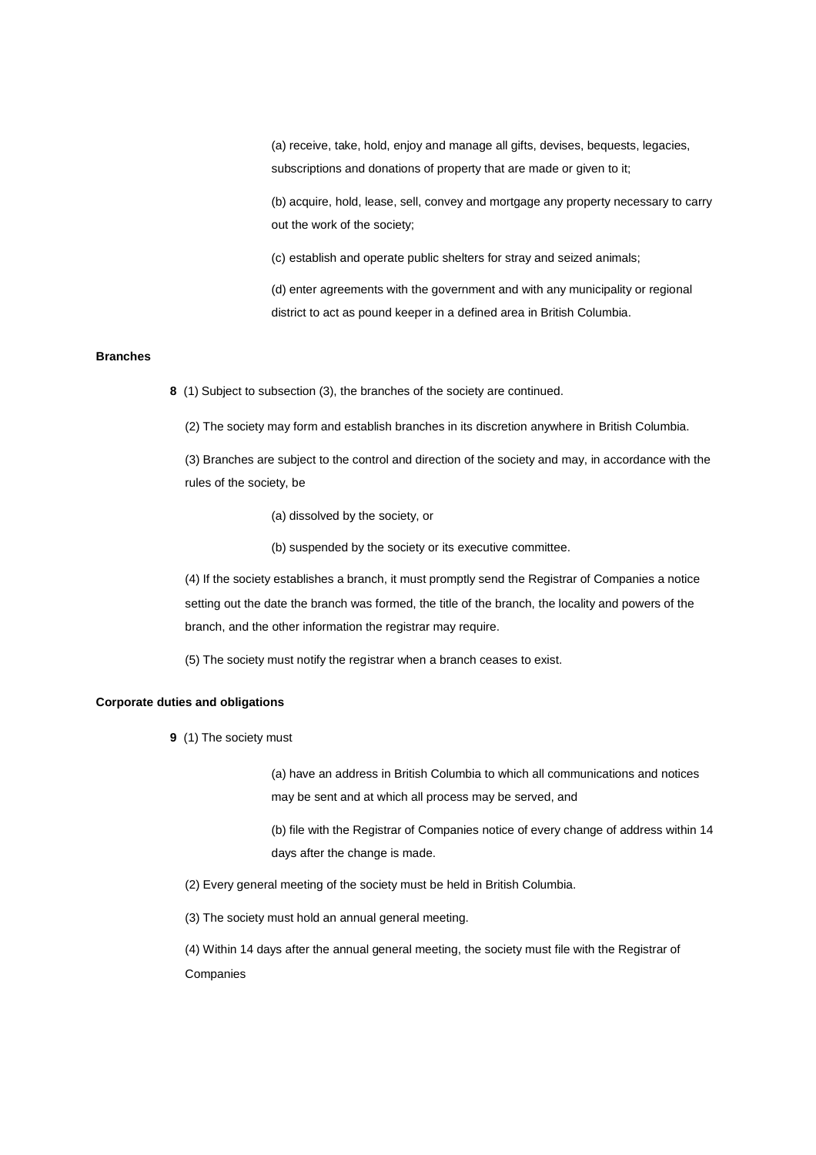(a) receive, take, hold, enjoy and manage all gifts, devises, bequests, legacies, subscriptions and donations of property that are made or given to it;

(b) acquire, hold, lease, sell, convey and mortgage any property necessary to carry out the work of the society;

(c) establish and operate public shelters for stray and seized animals;

(d) enter agreements with the government and with any municipality or regional district to act as pound keeper in a defined area in British Columbia.

### **Branches**

**8** (1) Subject to subsection (3), the branches of the society are continued.

(2) The society may form and establish branches in its discretion anywhere in British Columbia.

(3) Branches are subject to the control and direction of the society and may, in accordance with the rules of the society, be

(a) dissolved by the society, or

(b) suspended by the society or its executive committee.

(4) If the society establishes a branch, it must promptly send the Registrar of Companies a notice setting out the date the branch was formed, the title of the branch, the locality and powers of the branch, and the other information the registrar may require.

(5) The society must notify the registrar when a branch ceases to exist.

# **Corporate duties and obligations**

**9** (1) The society must

(a) have an address in British Columbia to which all communications and notices may be sent and at which all process may be served, and

(b) file with the Registrar of Companies notice of every change of address within 14 days after the change is made.

- (2) Every general meeting of the society must be held in British Columbia.
- (3) The society must hold an annual general meeting.

(4) Within 14 days after the annual general meeting, the society must file with the Registrar of Companies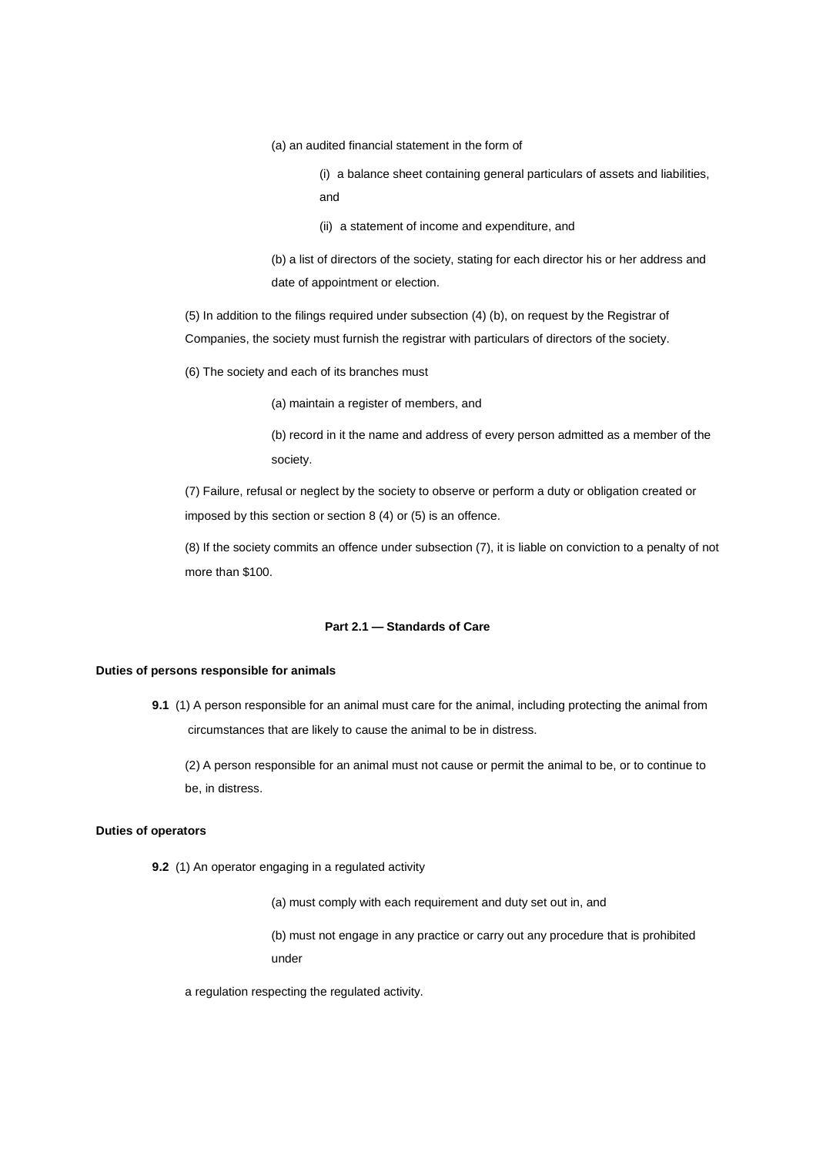(a) an audited financial statement in the form of

(i) a balance sheet containing general particulars of assets and liabilities, and

(ii) a statement of income and expenditure, and

(b) a list of directors of the society, stating for each director his or her address and date of appointment or election.

(5) In addition to the filings required under subsection (4) (b), on request by the Registrar of Companies, the society must furnish the registrar with particulars of directors of the society.

(6) The society and each of its branches must

(a) maintain a register of members, and

(b) record in it the name and address of every person admitted as a member of the society.

(7) Failure, refusal or neglect by the society to observe or perform a duty or obligation created or imposed by this section or section 8 (4) or (5) is an offence.

(8) If the society commits an offence under subsection (7), it is liable on conviction to a penalty of not more than \$100.

# **Part 2.1 — Standards of Care**

# **Duties of persons responsible for animals**

**9.1** (1) A person responsible for an animal must care for the animal, including protecting the animal from circumstances that are likely to cause the animal to be in distress.

(2) A person responsible for an animal must not cause or permit the animal to be, or to continue to be, in distress.

### **Duties of operators**

**9.2** (1) An operator engaging in a regulated activity

(a) must comply with each requirement and duty set out in, and

(b) must not engage in any practice or carry out any procedure that is prohibited under

a regulation respecting the regulated activity.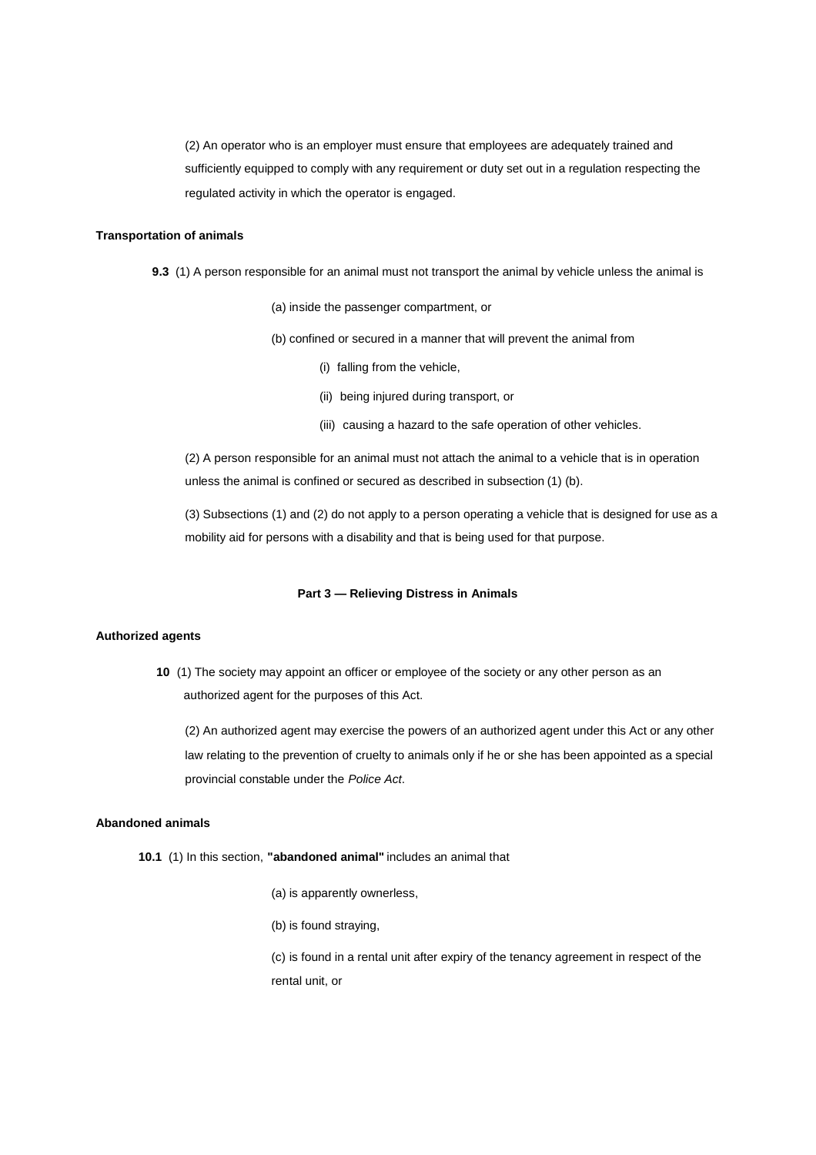(2) An operator who is an employer must ensure that employees are adequately trained and sufficiently equipped to comply with any requirement or duty set out in a regulation respecting the regulated activity in which the operator is engaged.

# **Transportation of animals**

- **9.3** (1) A person responsible for an animal must not transport the animal by vehicle unless the animal is
	- (a) inside the passenger compartment, or
	- (b) confined or secured in a manner that will prevent the animal from
		- (i) falling from the vehicle,
		- (ii) being injured during transport, or
		- (iii) causing a hazard to the safe operation of other vehicles.

(2) A person responsible for an animal must not attach the animal to a vehicle that is in operation unless the animal is confined or secured as described in subsection (1) (b).

(3) Subsections (1) and (2) do not apply to a person operating a vehicle that is designed for use as a mobility aid for persons with a disability and that is being used for that purpose.

### **Part 3 — Relieving Distress in Animals**

## **Authorized agents**

**10** (1) The society may appoint an officer or employee of the society or any other person as an authorized agent for the purposes of this Act.

(2) An authorized agent may exercise the powers of an authorized agent under this Act or any other law relating to the prevention of cruelty to animals only if he or she has been appointed as a special provincial constable under the *Police Act*.

### **Abandoned animals**

**10.1** (1) In this section, **"abandoned animal"** includes an animal that

- (a) is apparently ownerless,
- (b) is found straying,

(c) is found in a rental unit after expiry of the tenancy agreement in respect of the rental unit, or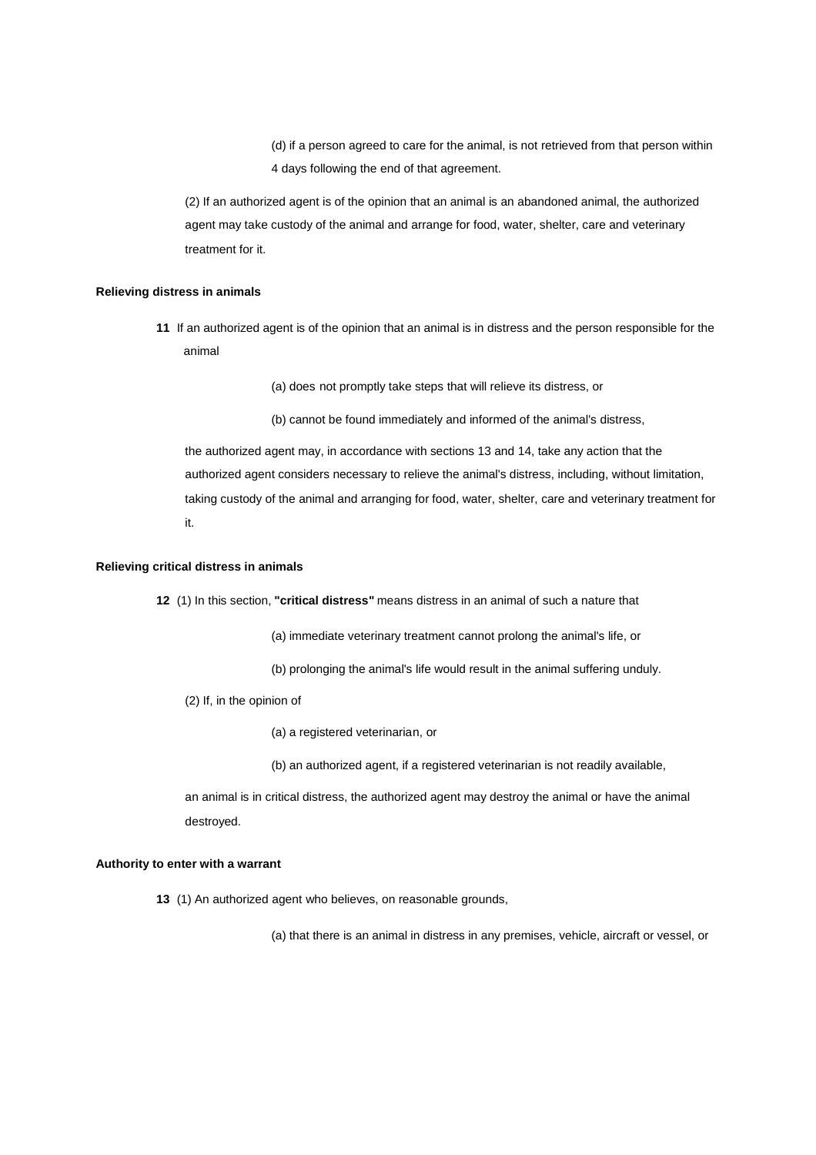(d) if a person agreed to care for the animal, is not retrieved from that person within 4 days following the end of that agreement.

(2) If an authorized agent is of the opinion that an animal is an abandoned animal, the authorized agent may take custody of the animal and arrange for food, water, shelter, care and veterinary treatment for it.

# **Relieving distress in animals**

- **11** If an authorized agent is of the opinion that an animal is in distress and the person responsible for the animal
	- (a) does not promptly take steps that will relieve its distress, or
	- (b) cannot be found immediately and informed of the animal's distress,

the authorized agent may, in accordance with sections 13 and 14, take any action that the authorized agent considers necessary to relieve the animal's distress, including, without limitation, taking custody of the animal and arranging for food, water, shelter, care and veterinary treatment for it.

### **Relieving critical distress in animals**

**12** (1) In this section, **"critical distress"** means distress in an animal of such a nature that

- (a) immediate veterinary treatment cannot prolong the animal's life, or
- (b) prolonging the animal's life would result in the animal suffering unduly.

# (2) If, in the opinion of

- (a) a registered veterinarian, or
- (b) an authorized agent, if a registered veterinarian is not readily available,

an animal is in critical distress, the authorized agent may destroy the animal or have the animal destroyed.

### **Authority to enter with a warrant**

**13** (1) An authorized agent who believes, on reasonable grounds,

(a) that there is an animal in distress in any premises, vehicle, aircraft or vessel, or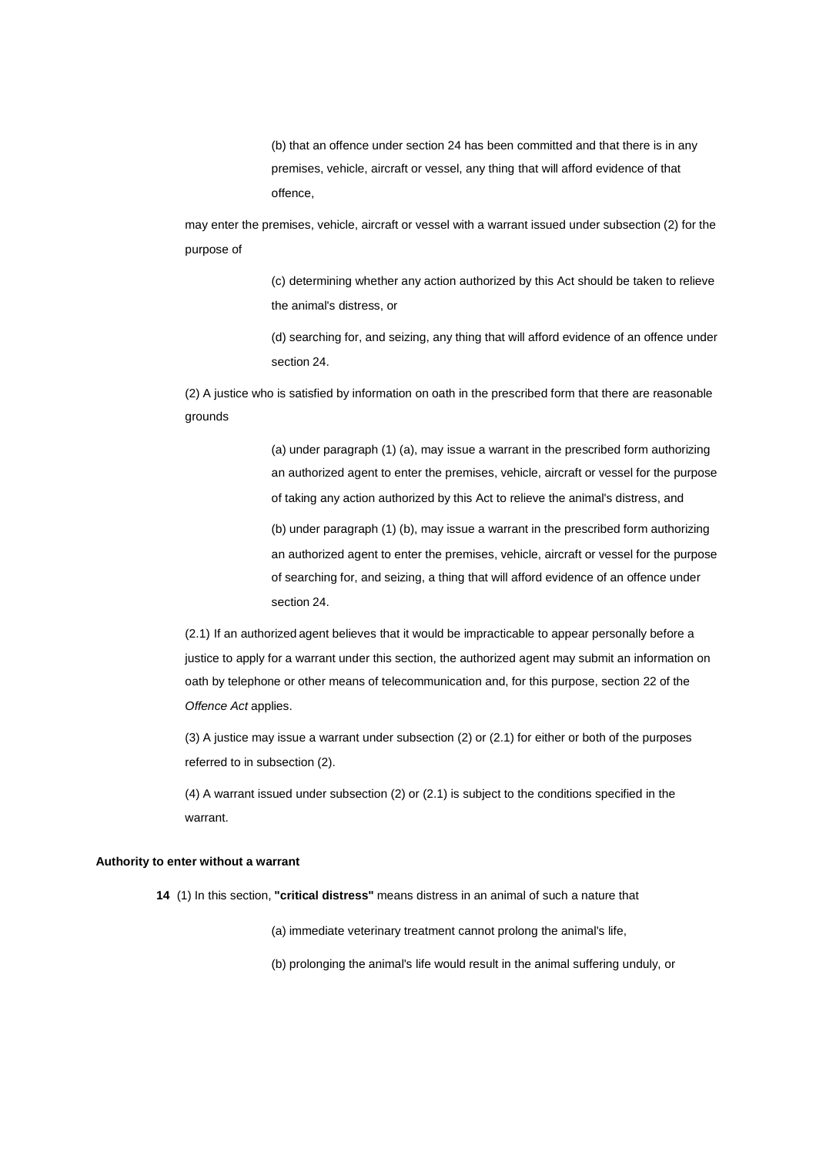(b) that an offence under section 24 has been committed and that there is in any premises, vehicle, aircraft or vessel, any thing that will afford evidence of that offence,

may enter the premises, vehicle, aircraft or vessel with a warrant issued under subsection (2) for the purpose of

> (c) determining whether any action authorized by this Act should be taken to relieve the animal's distress, or

> (d) searching for, and seizing, any thing that will afford evidence of an offence under section 24.

(2) A justice who is satisfied by information on oath in the prescribed form that there are reasonable grounds

> (a) under paragraph (1) (a), may issue a warrant in the prescribed form authorizing an authorized agent to enter the premises, vehicle, aircraft or vessel for the purpose of taking any action authorized by this Act to relieve the animal's distress, and

> (b) under paragraph (1) (b), may issue a warrant in the prescribed form authorizing an authorized agent to enter the premises, vehicle, aircraft or vessel for the purpose of searching for, and seizing, a thing that will afford evidence of an offence under section 24.

(2.1) If an authorized agent believes that it would be impracticable to appear personally before a justice to apply for a warrant under this section, the authorized agent may submit an information on oath by telephone or other means of telecommunication and, for this purpose, section 22 of the *Offence Act* applies.

(3) A justice may issue a warrant under subsection (2) or (2.1) for either or both of the purposes referred to in subsection (2).

(4) A warrant issued under subsection (2) or (2.1) is subject to the conditions specified in the warrant.

### **Authority to enter without a warrant**

**14** (1) In this section, **"critical distress"** means distress in an animal of such a nature that

(a) immediate veterinary treatment cannot prolong the animal's life,

(b) prolonging the animal's life would result in the animal suffering unduly, or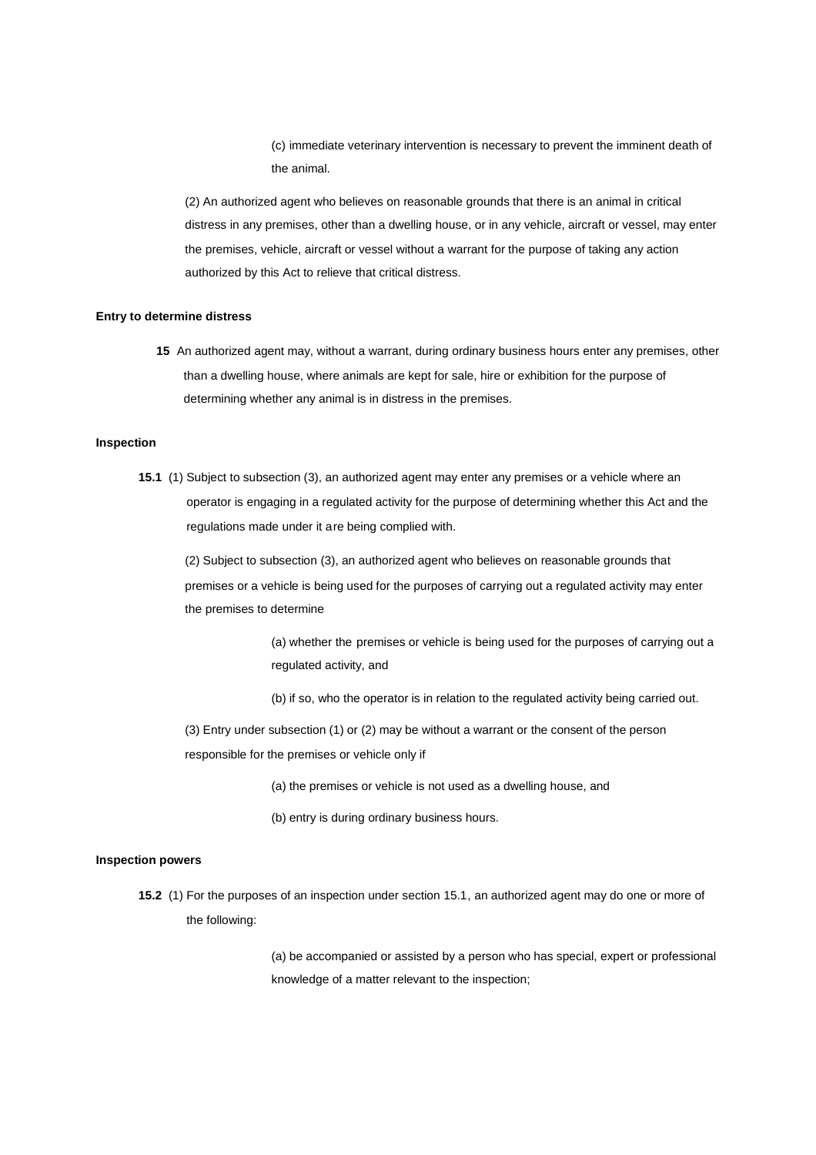(c) immediate veterinary intervention is necessary to prevent the imminent death of the animal.

(2) An authorized agent who believes on reasonable grounds that there is an animal in critical distress in any premises, other than a dwelling house, or in any vehicle, aircraft or vessel, may enter the premises, vehicle, aircraft or vessel without a warrant for the purpose of taking any action authorized by this Act to relieve that critical distress.

#### **Entry to determine distress**

**15** An authorized agent may, without a warrant, during ordinary business hours enter any premises, other than a dwelling house, where animals are kept for sale, hire or exhibition for the purpose of determining whether any animal is in distress in the premises.

### **Inspection**

**15.1** (1) Subject to subsection (3), an authorized agent may enter any premises or a vehicle where an operator is engaging in a regulated activity for the purpose of determining whether this Act and the regulations made under it are being complied with.

(2) Subject to subsection (3), an authorized agent who believes on reasonable grounds that premises or a vehicle is being used for the purposes of carrying out a regulated activity may enter the premises to determine

> (a) whether the premises or vehicle is being used for the purposes of carrying out a regulated activity, and

(b) if so, who the operator is in relation to the regulated activity being carried out.

(3) Entry under subsection (1) or (2) may be without a warrant or the consent of the person responsible for the premises or vehicle only if

- (a) the premises or vehicle is not used as a dwelling house, and
- (b) entry is during ordinary business hours.

### **Inspection powers**

**15.2** (1) For the purposes of an inspection under section 15.1, an authorized agent may do one or more of the following:

> (a) be accompanied or assisted by a person who has special, expert or professional knowledge of a matter relevant to the inspection;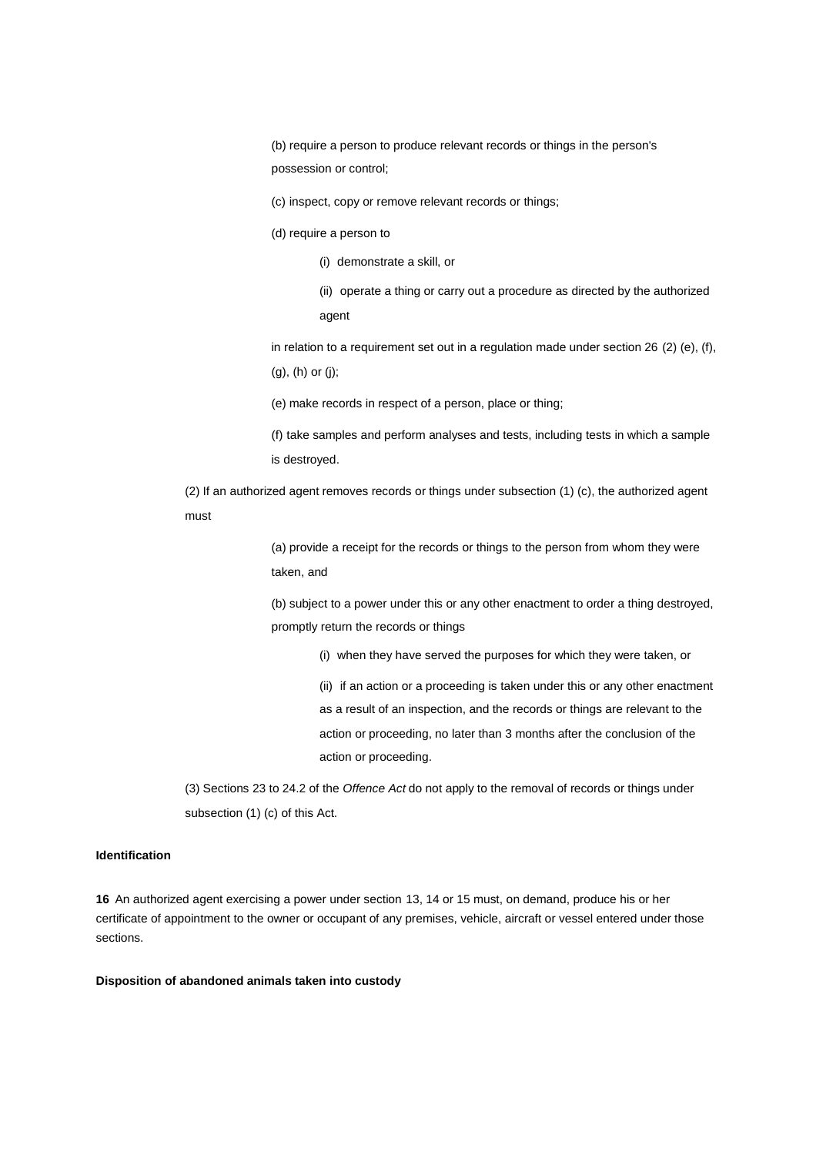(b) require a person to produce relevant records or things in the person's possession or control;

(c) inspect, copy or remove relevant records or things;

(d) require a person to

(i) demonstrate a skill, or

(ii) operate a thing or carry out a procedure as directed by the authorized agent

in relation to a requirement set out in a regulation made under section 26 (2) (e), (f), (g), (h) or (j);

(e) make records in respect of a person, place or thing;

(f) take samples and perform analyses and tests, including tests in which a sample is destroyed.

(2) If an authorized agent removes records or things under subsection (1) (c), the authorized agent must

> (a) provide a receipt for the records or things to the person from whom they were taken, and

(b) subject to a power under this or any other enactment to order a thing destroyed, promptly return the records or things

(i) when they have served the purposes for which they were taken, or

(ii) if an action or a proceeding is taken under this or any other enactment as a result of an inspection, and the records or things are relevant to the action or proceeding, no later than 3 months after the conclusion of the action or proceeding.

(3) Sections 23 to 24.2 of the *Offence Act* do not apply to the removal of records or things under subsection (1) (c) of this Act.

# **Identification**

**16** An authorized agent exercising a power under section 13, 14 or 15 must, on demand, produce his or her certificate of appointment to the owner or occupant of any premises, vehicle, aircraft or vessel entered under those sections.

**Disposition of abandoned animals taken into custody**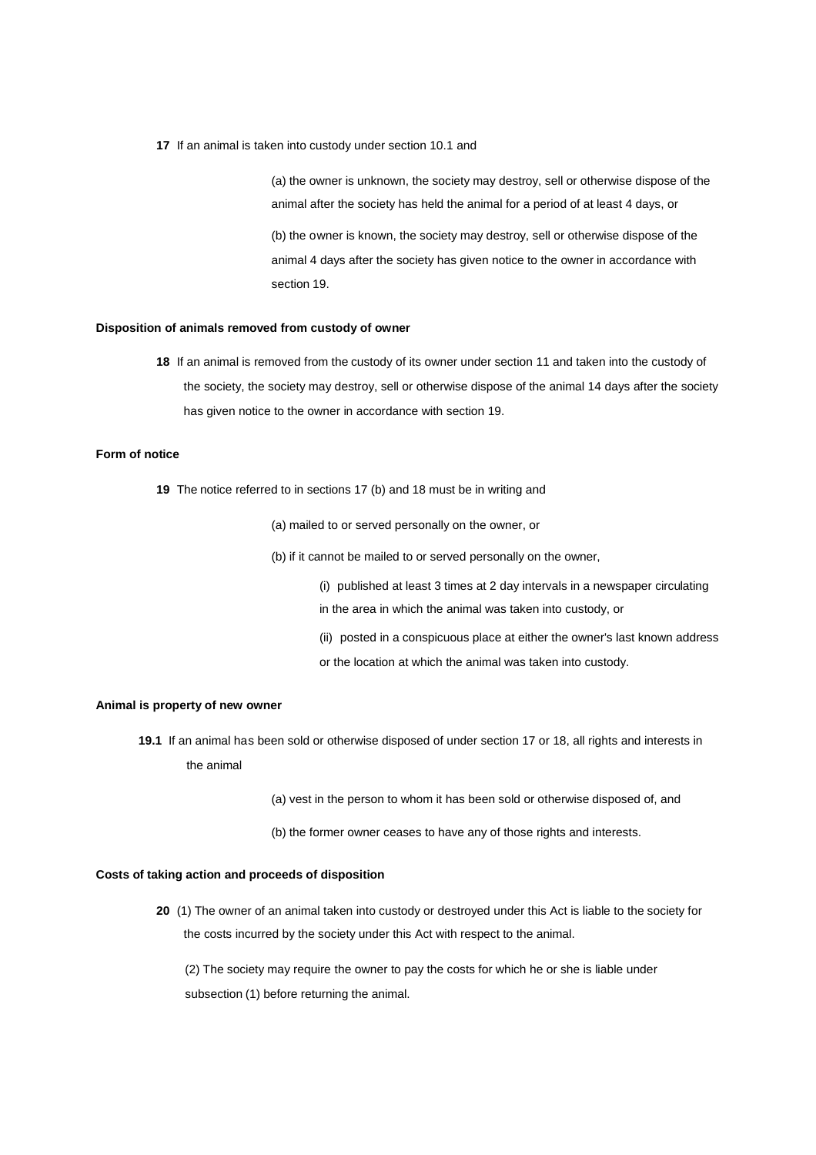#### **17** If an animal is taken into custody under section 10.1 and

(a) the owner is unknown, the society may destroy, sell or otherwise dispose of the animal after the society has held the animal for a period of at least 4 days, or (b) the owner is known, the society may destroy, sell or otherwise dispose of the animal 4 days after the society has given notice to the owner in accordance with section 19.

### **Disposition of animals removed from custody of owner**

**18** If an animal is removed from the custody of its owner under section 11 and taken into the custody of the society, the society may destroy, sell or otherwise dispose of the animal 14 days after the society has given notice to the owner in accordance with section 19.

#### **Form of notice**

**19** The notice referred to in sections 17 (b) and 18 must be in writing and

(a) mailed to or served personally on the owner, or

- (b) if it cannot be mailed to or served personally on the owner,
	- (i) published at least 3 times at 2 day intervals in a newspaper circulating in the area in which the animal was taken into custody, or
	- (ii) posted in a conspicuous place at either the owner's last known address or the location at which the animal was taken into custody.

#### **Animal is property of new owner**

- **19.1** If an animal has been sold or otherwise disposed of under section 17 or 18, all rights and interests in the animal
	- (a) vest in the person to whom it has been sold or otherwise disposed of, and
	- (b) the former owner ceases to have any of those rights and interests.

#### **Costs of taking action and proceeds of disposition**

**20** (1) The owner of an animal taken into custody or destroyed under this Act is liable to the society for the costs incurred by the society under this Act with respect to the animal.

(2) The society may require the owner to pay the costs for which he or she is liable under subsection (1) before returning the animal.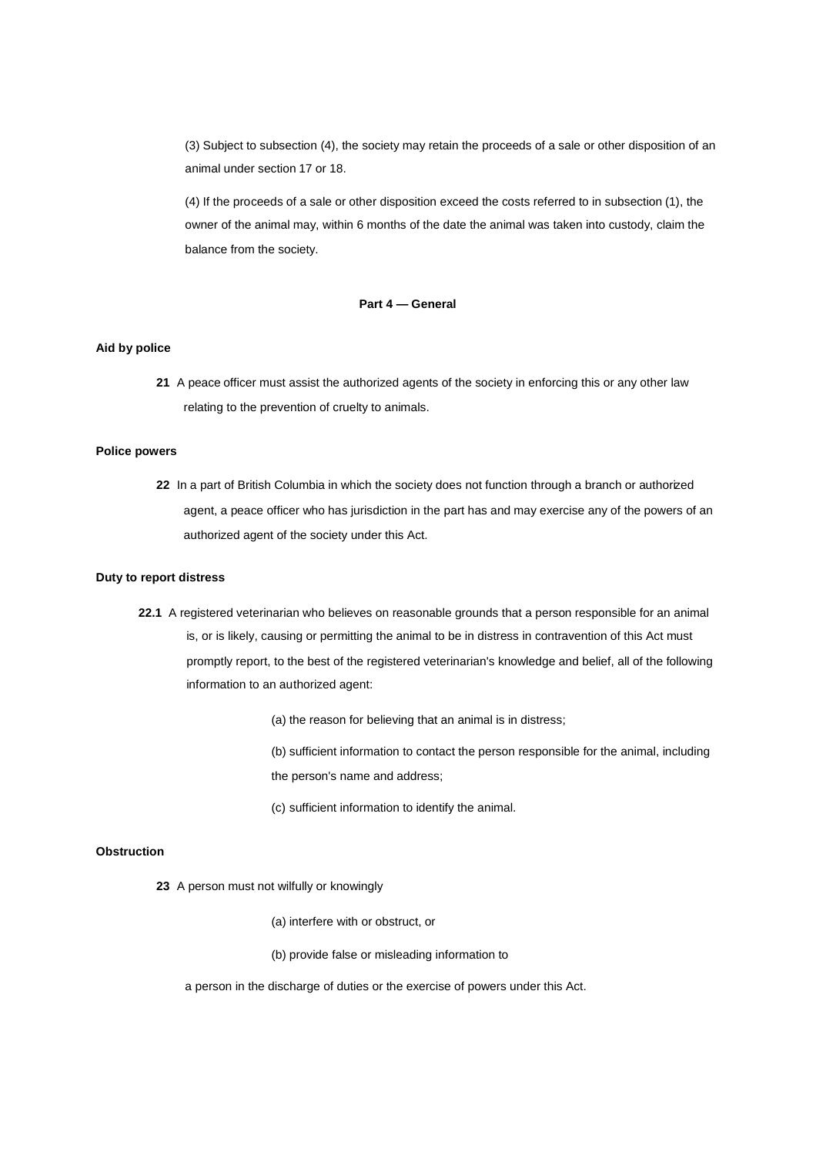(3) Subject to subsection (4), the society may retain the proceeds of a sale or other disposition of an animal under section 17 or 18.

(4) If the proceeds of a sale or other disposition exceed the costs referred to in subsection (1), the owner of the animal may, within 6 months of the date the animal was taken into custody, claim the balance from the society.

#### **Part 4 — General**

# **Aid by police**

**21** A peace officer must assist the authorized agents of the society in enforcing this or any other law relating to the prevention of cruelty to animals.

#### **Police powers**

**22** In a part of British Columbia in which the society does not function through a branch or authorized agent, a peace officer who has jurisdiction in the part has and may exercise any of the powers of an authorized agent of the society under this Act.

## **Duty to report distress**

- **22.1** A registered veterinarian who believes on reasonable grounds that a person responsible for an animal is, or is likely, causing or permitting the animal to be in distress in contravention of this Act must promptly report, to the best of the registered veterinarian's knowledge and belief, all of the following information to an authorized agent:
	- (a) the reason for believing that an animal is in distress;
	- (b) sufficient information to contact the person responsible for the animal, including the person's name and address;
	- (c) sufficient information to identify the animal.

### **Obstruction**

- **23** A person must not wilfully or knowingly
	- (a) interfere with or obstruct, or
	- (b) provide false or misleading information to

a person in the discharge of duties or the exercise of powers under this Act.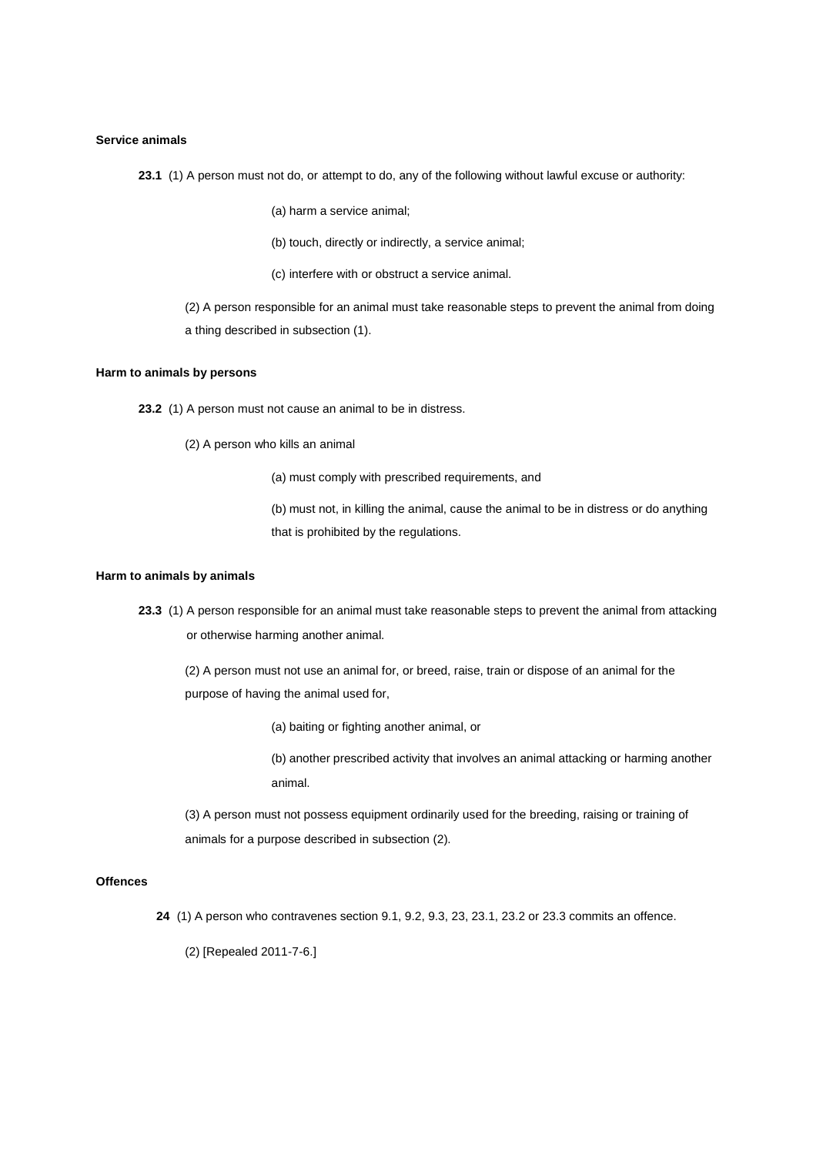#### **Service animals**

**23.1** (1) A person must not do, or attempt to do, any of the following without lawful excuse or authority:

- (a) harm a service animal;
- (b) touch, directly or indirectly, a service animal;
- (c) interfere with or obstruct a service animal.

(2) A person responsible for an animal must take reasonable steps to prevent the animal from doing a thing described in subsection (1).

#### **Harm to animals by persons**

**23.2** (1) A person must not cause an animal to be in distress.

(2) A person who kills an animal

(a) must comply with prescribed requirements, and

(b) must not, in killing the animal, cause the animal to be in distress or do anything that is prohibited by the regulations.

### **Harm to animals by animals**

**23.3** (1) A person responsible for an animal must take reasonable steps to prevent the animal from attacking or otherwise harming another animal.

(2) A person must not use an animal for, or breed, raise, train or dispose of an animal for the purpose of having the animal used for,

(a) baiting or fighting another animal, or

(b) another prescribed activity that involves an animal attacking or harming another animal.

(3) A person must not possess equipment ordinarily used for the breeding, raising or training of animals for a purpose described in subsection (2).

# **Offences**

- **24** (1) A person who contravenes section 9.1, 9.2, 9.3, 23, 23.1, 23.2 or 23.3 commits an offence.
	- (2) [Repealed 2011-7-6.]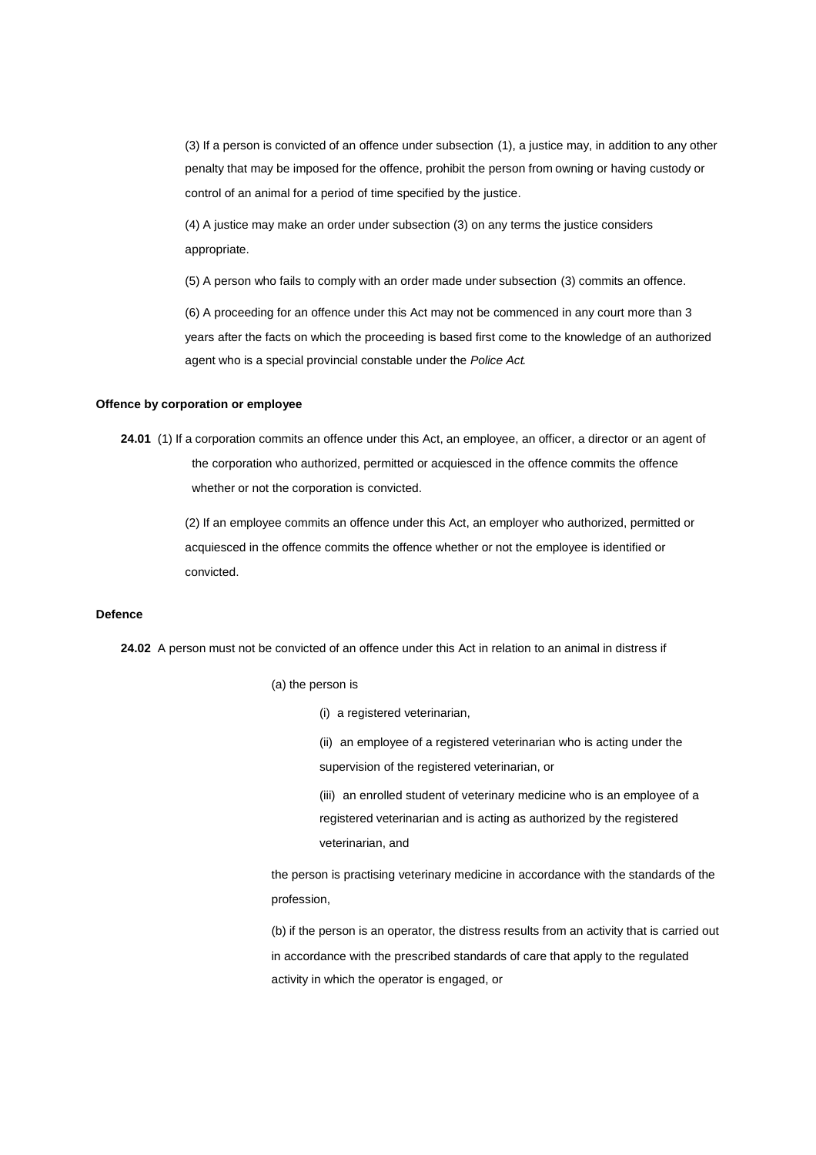(3) If a person is convicted of an offence under subsection (1), a justice may, in addition to any other penalty that may be imposed for the offence, prohibit the person from owning or having custody or control of an animal for a period of time specified by the justice.

(4) A justice may make an order under subsection (3) on any terms the justice considers appropriate.

(5) A person who fails to comply with an order made under subsection (3) commits an offence.

(6) A proceeding for an offence under this Act may not be commenced in any court more than 3 years after the facts on which the proceeding is based first come to the knowledge of an authorized agent who is a special provincial constable under the *Police Act*.

#### **Offence by corporation or employee**

**24.01** (1) If a corporation commits an offence under this Act, an employee, an officer, a director or an agent of the corporation who authorized, permitted or acquiesced in the offence commits the offence whether or not the corporation is convicted.

> (2) If an employee commits an offence under this Act, an employer who authorized, permitted or acquiesced in the offence commits the offence whether or not the employee is identified or convicted.

#### **Defence**

**24.02** A person must not be convicted of an offence under this Act in relation to an animal in distress if

- (a) the person is
	- (i) a registered veterinarian,
	- (ii) an employee of a registered veterinarian who is acting under the supervision of the registered veterinarian, or
	- (iii) an enrolled student of veterinary medicine who is an employee of a registered veterinarian and is acting as authorized by the registered veterinarian, and

the person is practising veterinary medicine in accordance with the standards of the profession,

(b) if the person is an operator, the distress results from an activity that is carried out in accordance with the prescribed standards of care that apply to the regulated activity in which the operator is engaged, or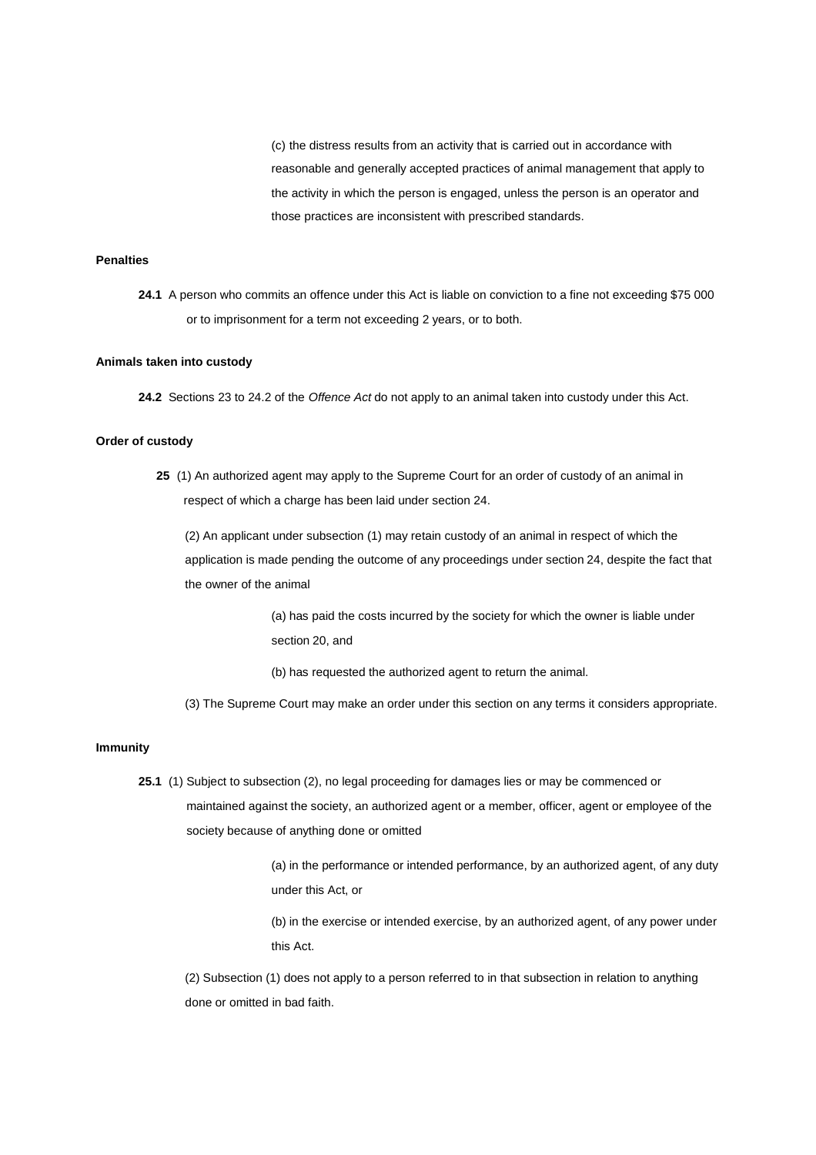(c) the distress results from an activity that is carried out in accordance with reasonable and generally accepted practices of animal management that apply to the activity in which the person is engaged, unless the person is an operator and those practices are inconsistent with prescribed standards.

### **Penalties**

**24.1** A person who commits an offence under this Act is liable on conviction to a fine not exceeding \$75 000 or to imprisonment for a term not exceeding 2 years, or to both.

#### **Animals taken into custody**

**24.2** Sections 23 to 24.2 of the *Offence Act* do not apply to an animal taken into custody under this Act.

### **Order of custody**

**25** (1) An authorized agent may apply to the Supreme Court for an order of custody of an animal in respect of which a charge has been laid under section 24.

(2) An applicant under subsection (1) may retain custody of an animal in respect of which the application is made pending the outcome of any proceedings under section 24, despite the fact that the owner of the animal

> (a) has paid the costs incurred by the society for which the owner is liable under section 20, and

(b) has requested the authorized agent to return the animal.

(3) The Supreme Court may make an order under this section on any terms it considers appropriate.

# **Immunity**

**25.1** (1) Subject to subsection (2), no legal proceeding for damages lies or may be commenced or maintained against the society, an authorized agent or a member, officer, agent or employee of the society because of anything done or omitted

> (a) in the performance or intended performance, by an authorized agent, of any duty under this Act, or (b) in the exercise or intended exercise, by an authorized agent, of any power under

this Act.

(2) Subsection (1) does not apply to a person referred to in that subsection in relation to anything done or omitted in bad faith.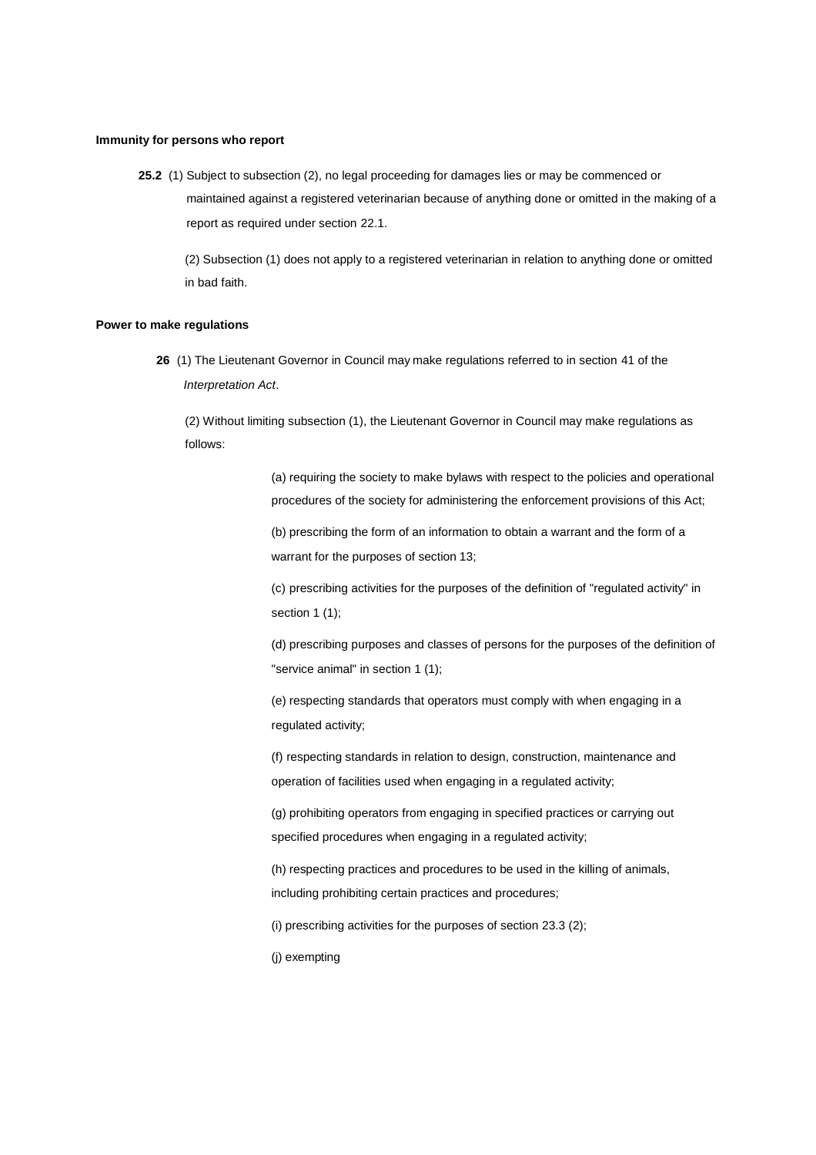### **Immunity for persons who report**

**25.2** (1) Subject to subsection (2), no legal proceeding for damages lies or may be commenced or maintained against a registered veterinarian because of anything done or omitted in the making of a report as required under section 22.1.

(2) Subsection (1) does not apply to a registered veterinarian in relation to anything done or omitted in bad faith.

# **Power to make regulations**

**26** (1) The Lieutenant Governor in Council may make regulations referred to in section 41 of the *Interpretation Act*.

(2) Without limiting subsection (1), the Lieutenant Governor in Council may make regulations as follows:

> (a) requiring the society to make bylaws with respect to the policies and operational procedures of the society for administering the enforcement provisions of this Act;

(b) prescribing the form of an information to obtain a warrant and the form of a warrant for the purposes of section 13;

(c) prescribing activities for the purposes of the definition of "regulated activity" in section 1 (1);

(d) prescribing purposes and classes of persons for the purposes of the definition of "service animal" in section 1 (1);

(e) respecting standards that operators must comply with when engaging in a regulated activity;

(f) respecting standards in relation to design, construction, maintenance and operation of facilities used when engaging in a regulated activity;

(g) prohibiting operators from engaging in specified practices or carrying out specified procedures when engaging in a regulated activity;

(h) respecting practices and procedures to be used in the killing of animals, including prohibiting certain practices and procedures;

(i) prescribing activities for the purposes of section 23.3 (2);

(j) exempting